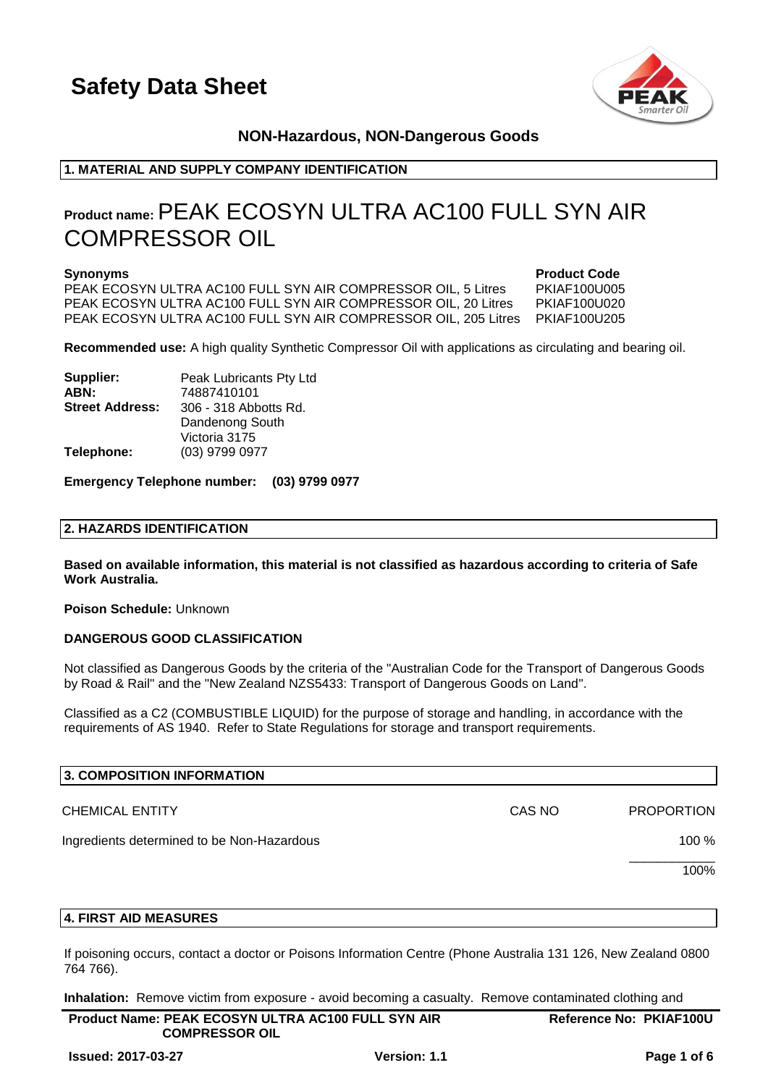

### **NON-Hazardous, NON-Dangerous Goods**

### **1. MATERIAL AND SUPPLY COMPANY IDENTIFICATION**

### **Product name:**PEAK ECOSYN ULTRA AC100 FULL SYN AIR COMPRESSOR OIL

PEAK ECOSYN ULTRA AC100 FULL SYN AIR COMPRESSOR OIL, 5 Litres PKIAF100U005 PEAK ECOSYN ULTRA AC100 FULL SYN AIR COMPRESSOR OIL, 20 Litres PKIAF100U020 PEAK ECOSYN ULTRA AC100 FULL SYN AIR COMPRESSOR OIL, 205 Litres PKIAF100U205

**Synonyms Product Code** 

**Recommended use:** A high quality Synthetic Compressor Oil with applications as circulating and bearing oil.

**Supplier:** Peak Lubricants Pty Ltd **ABN:** 74887410101 **Street Address:** 306 - 318 Abbotts Rd. Dandenong South Victoria 3175 **Telephone:** (03) 9799 0977

**Emergency Telephone number: (03) 9799 0977**

### **2. HAZARDS IDENTIFICATION**

**Based on available information, this material is not classified as hazardous according to criteria of Safe Work Australia.**

**Poison Schedule:** Unknown

### **DANGEROUS GOOD CLASSIFICATION**

Not classified as Dangerous Goods by the criteria of the "Australian Code for the Transport of Dangerous Goods by Road & Rail" and the "New Zealand NZS5433: Transport of Dangerous Goods on Land".

Classified as a C2 (COMBUSTIBLE LIQUID) for the purpose of storage and handling, in accordance with the requirements of AS 1940. Refer to State Regulations for storage and transport requirements.

| 3. COMPOSITION INFORMATION                 |        |                   |
|--------------------------------------------|--------|-------------------|
| <b>CHEMICAL ENTITY</b>                     | CAS NO | <b>PROPORTION</b> |
| Ingredients determined to be Non-Hazardous |        | 100 %             |
|                                            |        | 100%              |

### **4. FIRST AID MEASURES**

If poisoning occurs, contact a doctor or Poisons Information Centre (Phone Australia 131 126, New Zealand 0800 764 766).

**Inhalation:** Remove victim from exposure - avoid becoming a casualty. Remove contaminated clothing and

| <b>Product Name: PEAK ECOSYN ULTRA AC100 FULL SYN AIR</b> | <b>Reference No: PKIAF100U</b> |
|-----------------------------------------------------------|--------------------------------|
| <b>COMPRESSOR OIL</b>                                     |                                |
|                                                           |                                |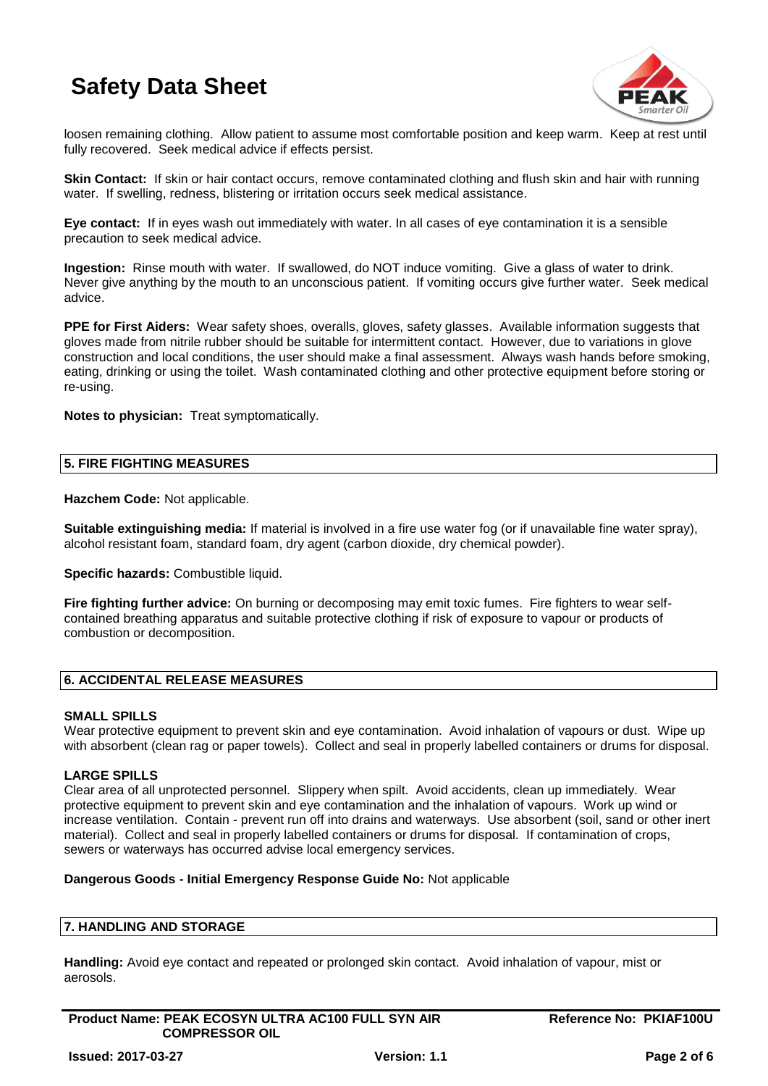

loosen remaining clothing. Allow patient to assume most comfortable position and keep warm. Keep at rest until fully recovered. Seek medical advice if effects persist.

**Skin Contact:** If skin or hair contact occurs, remove contaminated clothing and flush skin and hair with running water. If swelling, redness, blistering or irritation occurs seek medical assistance.

**Eye contact:** If in eyes wash out immediately with water. In all cases of eye contamination it is a sensible precaution to seek medical advice.

**Ingestion:** Rinse mouth with water. If swallowed, do NOT induce vomiting. Give a glass of water to drink. Never give anything by the mouth to an unconscious patient. If vomiting occurs give further water. Seek medical advice.

**PPE for First Aiders:** Wear safety shoes, overalls, gloves, safety glasses. Available information suggests that gloves made from nitrile rubber should be suitable for intermittent contact. However, due to variations in glove construction and local conditions, the user should make a final assessment. Always wash hands before smoking, eating, drinking or using the toilet. Wash contaminated clothing and other protective equipment before storing or re-using.

**Notes to physician:** Treat symptomatically.

### **5. FIRE FIGHTING MEASURES**

**Hazchem Code:** Not applicable.

**Suitable extinguishing media:** If material is involved in a fire use water fog (or if unavailable fine water spray), alcohol resistant foam, standard foam, dry agent (carbon dioxide, dry chemical powder).

**Specific hazards:** Combustible liquid.

**Fire fighting further advice:** On burning or decomposing may emit toxic fumes. Fire fighters to wear selfcontained breathing apparatus and suitable protective clothing if risk of exposure to vapour or products of combustion or decomposition.

### **6. ACCIDENTAL RELEASE MEASURES**

### **SMALL SPILLS**

Wear protective equipment to prevent skin and eye contamination. Avoid inhalation of vapours or dust. Wipe up with absorbent (clean rag or paper towels). Collect and seal in properly labelled containers or drums for disposal.

### **LARGE SPILLS**

Clear area of all unprotected personnel. Slippery when spilt. Avoid accidents, clean up immediately. Wear protective equipment to prevent skin and eye contamination and the inhalation of vapours. Work up wind or increase ventilation. Contain - prevent run off into drains and waterways. Use absorbent (soil, sand or other inert material). Collect and seal in properly labelled containers or drums for disposal. If contamination of crops, sewers or waterways has occurred advise local emergency services.

### **Dangerous Goods - Initial Emergency Response Guide No:** Not applicable

### **7. HANDLING AND STORAGE**

**Handling:** Avoid eye contact and repeated or prolonged skin contact. Avoid inhalation of vapour, mist or aerosols.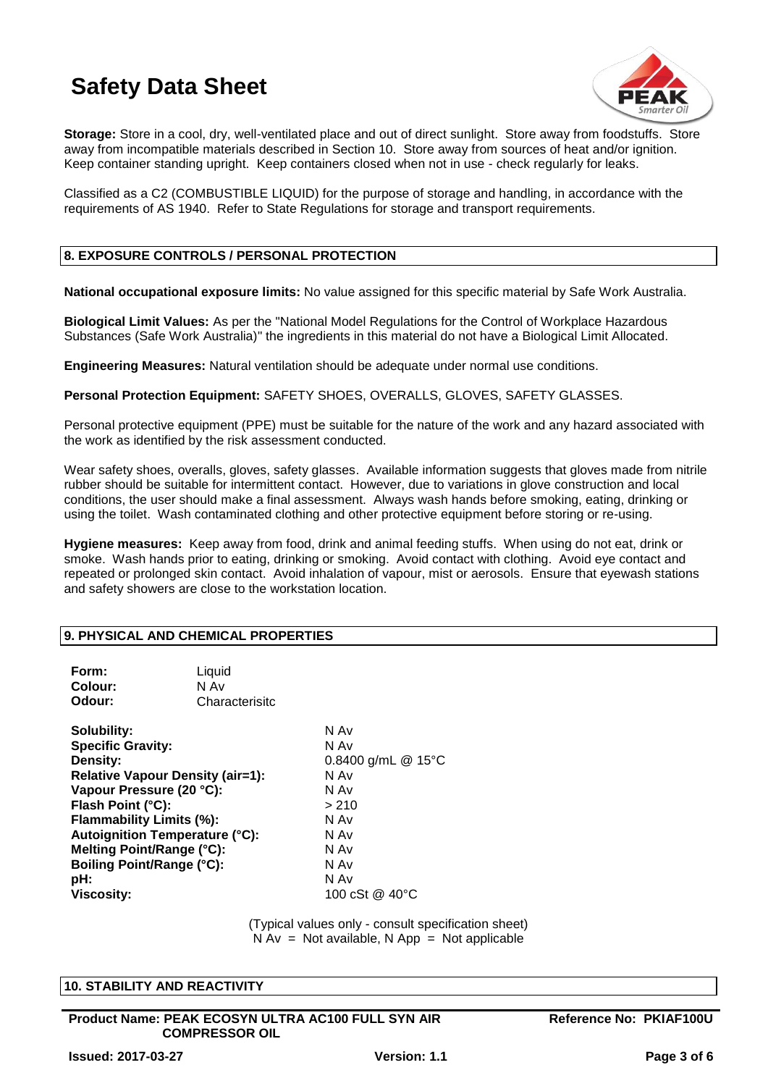

**Storage:** Store in a cool, dry, well-ventilated place and out of direct sunlight. Store away from foodstuffs. Store away from incompatible materials described in Section 10. Store away from sources of heat and/or ignition. Keep container standing upright. Keep containers closed when not in use - check regularly for leaks.

Classified as a C2 (COMBUSTIBLE LIQUID) for the purpose of storage and handling, in accordance with the requirements of AS 1940. Refer to State Regulations for storage and transport requirements.

### **8. EXPOSURE CONTROLS / PERSONAL PROTECTION**

**National occupational exposure limits:** No value assigned for this specific material by Safe Work Australia.

**Biological Limit Values:** As per the "National Model Regulations for the Control of Workplace Hazardous Substances (Safe Work Australia)" the ingredients in this material do not have a Biological Limit Allocated.

**Engineering Measures:** Natural ventilation should be adequate under normal use conditions.

**Personal Protection Equipment:** SAFETY SHOES, OVERALLS, GLOVES, SAFETY GLASSES.

Personal protective equipment (PPE) must be suitable for the nature of the work and any hazard associated with the work as identified by the risk assessment conducted.

Wear safety shoes, overalls, gloves, safety glasses. Available information suggests that gloves made from nitrile rubber should be suitable for intermittent contact. However, due to variations in glove construction and local conditions, the user should make a final assessment. Always wash hands before smoking, eating, drinking or using the toilet. Wash contaminated clothing and other protective equipment before storing or re-using.

**Hygiene measures:** Keep away from food, drink and animal feeding stuffs. When using do not eat, drink or smoke. Wash hands prior to eating, drinking or smoking. Avoid contact with clothing. Avoid eye contact and repeated or prolonged skin contact. Avoid inhalation of vapour, mist or aerosols. Ensure that eyewash stations and safety showers are close to the workstation location.

### **9. PHYSICAL AND CHEMICAL PROPERTIES**

| Form:<br>Colour:<br>Odour:                                                                                                                                                                                                                                                                                 | Liquid<br>N Av<br>Characterisitc |                                                                                                                      |
|------------------------------------------------------------------------------------------------------------------------------------------------------------------------------------------------------------------------------------------------------------------------------------------------------------|----------------------------------|----------------------------------------------------------------------------------------------------------------------|
| Solubility:<br><b>Specific Gravity:</b><br>Density:<br><b>Relative Vapour Density (air=1):</b><br>Vapour Pressure (20 °C):<br>Flash Point (°C):<br>Flammability Limits (%):<br><b>Autoignition Temperature (°C):</b><br>Melting Point/Range (°C):<br>Boiling Point/Range (°C):<br>pH:<br><b>Viscosity:</b> |                                  | N Av<br>N Av<br>0.8400 g/mL @ 15°C<br>N Av<br>N Av<br>>210<br>N Av<br>N Av<br>N Av<br>N Av<br>N Av<br>100 cSt @ 40°C |

(Typical values only - consult specification sheet)  $N Av = Not available, N App = Not applicable$ 

### **10. STABILITY AND REACTIVITY**

**Product Name: PEAK ECOSYN ULTRA AC100 FULL SYN AIR COMPRESSOR OIL**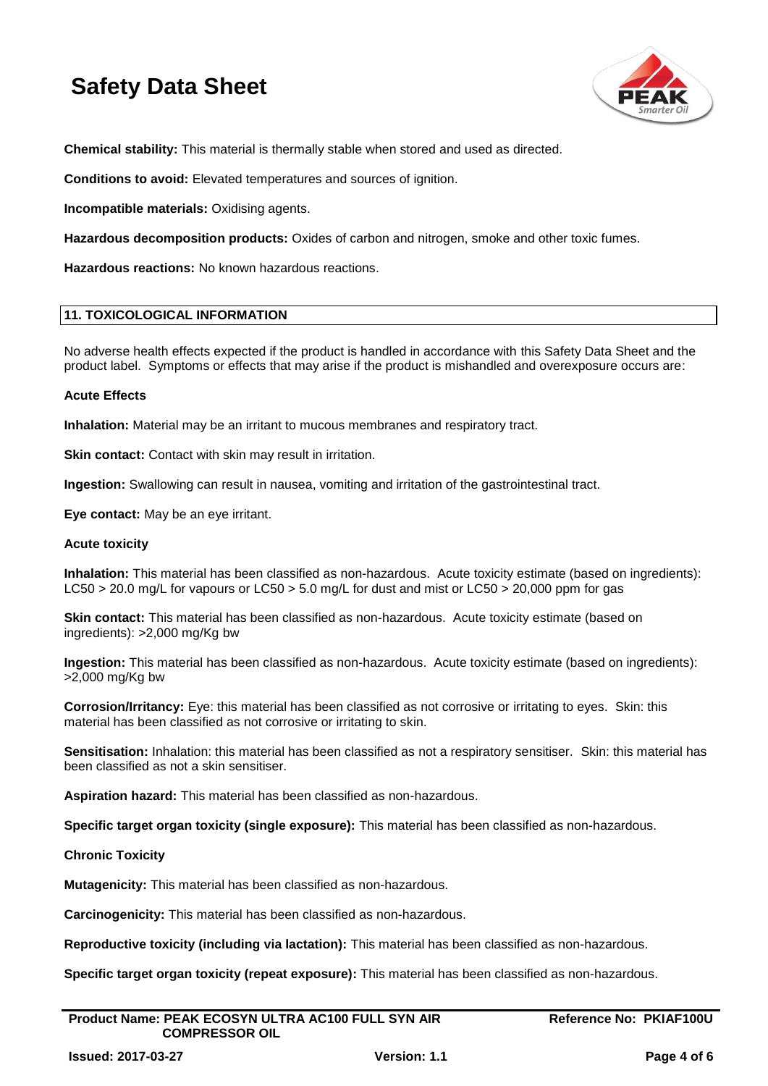

**Chemical stability:** This material is thermally stable when stored and used as directed.

**Conditions to avoid:** Elevated temperatures and sources of ignition.

**Incompatible materials:** Oxidising agents.

**Hazardous decomposition products:** Oxides of carbon and nitrogen, smoke and other toxic fumes.

**Hazardous reactions:** No known hazardous reactions.

### **11. TOXICOLOGICAL INFORMATION**

No adverse health effects expected if the product is handled in accordance with this Safety Data Sheet and the product label. Symptoms or effects that may arise if the product is mishandled and overexposure occurs are:

### **Acute Effects**

**Inhalation:** Material may be an irritant to mucous membranes and respiratory tract.

**Skin contact:** Contact with skin may result in irritation.

**Ingestion:** Swallowing can result in nausea, vomiting and irritation of the gastrointestinal tract.

**Eye contact:** May be an eye irritant.

### **Acute toxicity**

**Inhalation:** This material has been classified as non-hazardous. Acute toxicity estimate (based on ingredients): LC50 > 20.0 mg/L for vapours or LC50 > 5.0 mg/L for dust and mist or LC50 > 20,000 ppm for gas

**Skin contact:** This material has been classified as non-hazardous. Acute toxicity estimate (based on ingredients): >2,000 mg/Kg bw

**Ingestion:** This material has been classified as non-hazardous. Acute toxicity estimate (based on ingredients): >2,000 mg/Kg bw

**Corrosion/Irritancy:** Eye: this material has been classified as not corrosive or irritating to eyes. Skin: this material has been classified as not corrosive or irritating to skin.

**Sensitisation:** Inhalation: this material has been classified as not a respiratory sensitiser. Skin: this material has been classified as not a skin sensitiser.

**Aspiration hazard:** This material has been classified as non-hazardous.

**Specific target organ toxicity (single exposure):** This material has been classified as non-hazardous.

### **Chronic Toxicity**

**Mutagenicity:** This material has been classified as non-hazardous.

**Carcinogenicity:** This material has been classified as non-hazardous.

**Reproductive toxicity (including via lactation):** This material has been classified as non-hazardous.

**Specific target organ toxicity (repeat exposure):** This material has been classified as non-hazardous.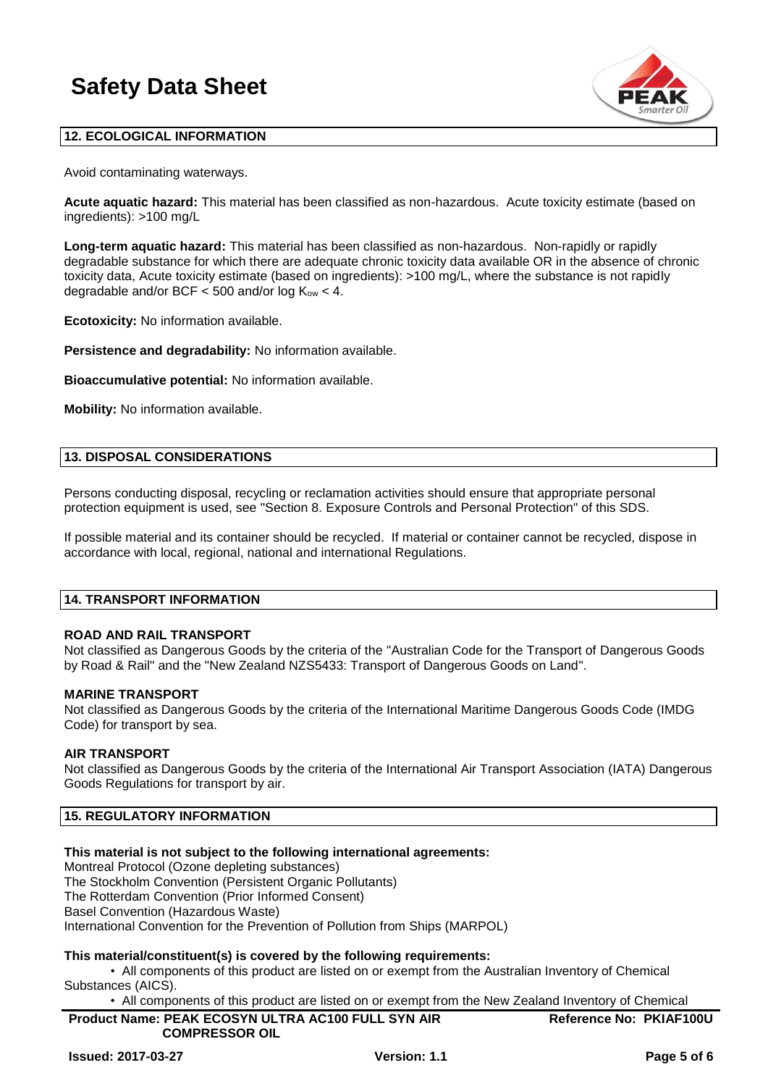

### **12. ECOLOGICAL INFORMATION**

Avoid contaminating waterways.

**Acute aquatic hazard:** This material has been classified as non-hazardous. Acute toxicity estimate (based on ingredients): >100 mg/L

**Long-term aquatic hazard:** This material has been classified as non-hazardous. Non-rapidly or rapidly degradable substance for which there are adequate chronic toxicity data available OR in the absence of chronic toxicity data, Acute toxicity estimate (based on ingredients): >100 mg/L, where the substance is not rapidly degradable and/or BCF  $<$  500 and/or log  $K_{ow}$   $<$  4.

**Ecotoxicity:** No information available.

**Persistence and degradability:** No information available.

**Bioaccumulative potential:** No information available.

**Mobility:** No information available.

### **13. DISPOSAL CONSIDERATIONS**

Persons conducting disposal, recycling or reclamation activities should ensure that appropriate personal protection equipment is used, see "Section 8. Exposure Controls and Personal Protection" of this SDS.

If possible material and its container should be recycled. If material or container cannot be recycled, dispose in accordance with local, regional, national and international Regulations.

### **14. TRANSPORT INFORMATION**

### **ROAD AND RAIL TRANSPORT**

Not classified as Dangerous Goods by the criteria of the "Australian Code for the Transport of Dangerous Goods by Road & Rail" and the "New Zealand NZS5433: Transport of Dangerous Goods on Land".

### **MARINE TRANSPORT**

Not classified as Dangerous Goods by the criteria of the International Maritime Dangerous Goods Code (IMDG Code) for transport by sea.

### **AIR TRANSPORT**

Not classified as Dangerous Goods by the criteria of the International Air Transport Association (IATA) Dangerous Goods Regulations for transport by air.

### **15. REGULATORY INFORMATION**

### **This material is not subject to the following international agreements:**

Montreal Protocol (Ozone depleting substances)

The Stockholm Convention (Persistent Organic Pollutants)

The Rotterdam Convention (Prior Informed Consent)

Basel Convention (Hazardous Waste)

International Convention for the Prevention of Pollution from Ships (MARPOL)

### **This material/constituent(s) is covered by the following requirements:**

• All components of this product are listed on or exempt from the Australian Inventory of Chemical Substances (AICS).

• All components of this product are listed on or exempt from the New Zealand Inventory of Chemical

| <b>Product Name: PEAK ECOSYN ULTRA AC100 FULL SYN AIR</b> | <b>Reference No: PKIAF100U</b> |
|-----------------------------------------------------------|--------------------------------|
| <b>COMPRESSOR OIL</b>                                     |                                |